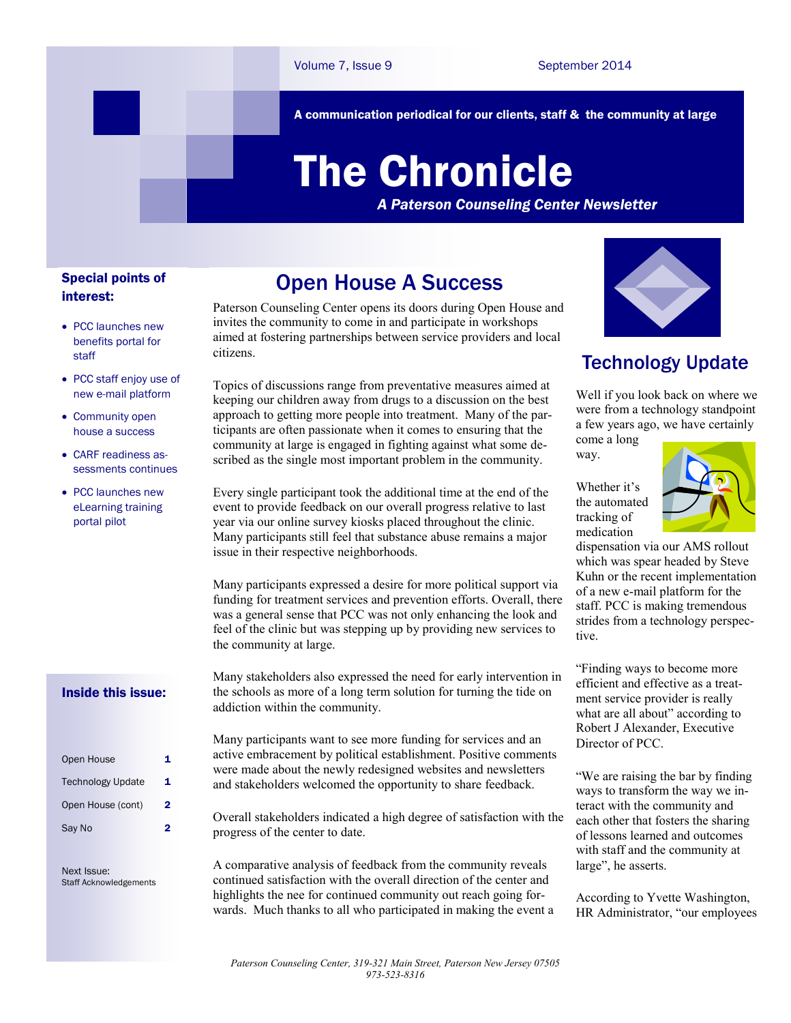A communication periodical for our clients, staff & the community at large

# The Chronicle

*A Paterson Counseling Center Newsletter*

#### Special points of interest:

- PCC launches new benefits portal for staff
- PCC staff enjoy use of new e-mail platform
- Community open house a success
- CARF readiness assessments continues
- PCC launches new eLearning training portal pilot

#### Inside this issue:

| Open House               | 1 |
|--------------------------|---|
| <b>Technology Update</b> | 1 |
| Open House (cont)        | 2 |
| Say No                   | 2 |

Next Issue: Staff Acknowledgements

# Open House A Success

Paterson Counseling Center opens its doors during Open House and invites the community to come in and participate in workshops aimed at fostering partnerships between service providers and local citizens.

Topics of discussions range from preventative measures aimed at keeping our children away from drugs to a discussion on the best approach to getting more people into treatment. Many of the participants are often passionate when it comes to ensuring that the community at large is engaged in fighting against what some described as the single most important problem in the community.

Every single participant took the additional time at the end of the event to provide feedback on our overall progress relative to last year via our online survey kiosks placed throughout the clinic. Many participants still feel that substance abuse remains a major issue in their respective neighborhoods.

Many participants expressed a desire for more political support via funding for treatment services and prevention efforts. Overall, there was a general sense that PCC was not only enhancing the look and feel of the clinic but was stepping up by providing new services to the community at large.

Many stakeholders also expressed the need for early intervention in the schools as more of a long term solution for turning the tide on addiction within the community.

Many participants want to see more funding for services and an active embracement by political establishment. Positive comments were made about the newly redesigned websites and newsletters and stakeholders welcomed the opportunity to share feedback.

Overall stakeholders indicated a high degree of satisfaction with the progress of the center to date.

A comparative analysis of feedback from the community reveals continued satisfaction with the overall direction of the center and highlights the nee for continued community out reach going forwards. Much thanks to all who participated in making the event a



## Technology Update

Well if you look back on where we were from a technology standpoint a few years ago, we have certainly come a long

way.

Whether it's the automated tracking of medication



dispensation via our AMS rollout which was spear headed by Steve Kuhn or the recent implementation of a new e-mail platform for the staff. PCC is making tremendous strides from a technology perspective.

"Finding ways to become more efficient and effective as a treatment service provider is really what are all about" according to Robert J Alexander, Executive Director of PCC.

"We are raising the bar by finding ways to transform the way we interact with the community and each other that fosters the sharing of lessons learned and outcomes with staff and the community at large", he asserts.

According to Yvette Washington, HR Administrator, "our employees